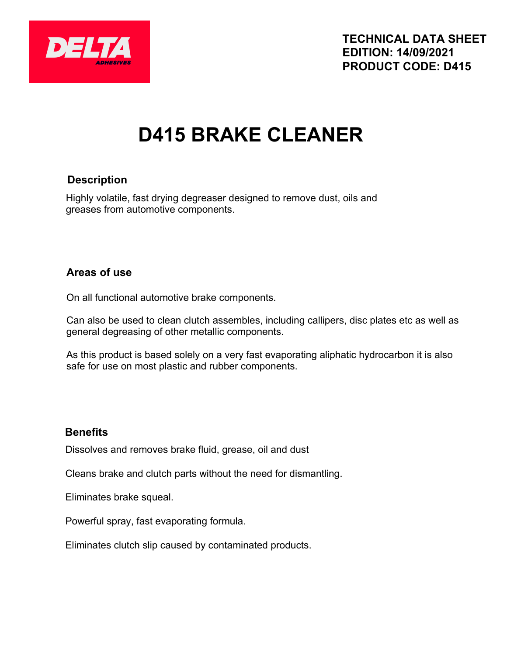

# **D415 BRAKE CLEANER**

#### **Description**

Highly volatile, fast drying degreaser designed to remove dust, oils and greases from automotive components.

#### **Areas of use**

On all functional automotive brake components.

Can also be used to clean clutch assembles, including callipers, disc plates etc as well as general degreasing of other metallic components.

As this product is based solely on a very fast evaporating aliphatic hydrocarbon it is also safe for use on most plastic and rubber components.

#### **Benefits**

Dissolves and removes brake fluid, grease, oil and dust

Cleans brake and clutch parts without the need for dismantling.

Eliminates brake squeal.

Powerful spray, fast evaporating formula.

Eliminates clutch slip caused by contaminated products.